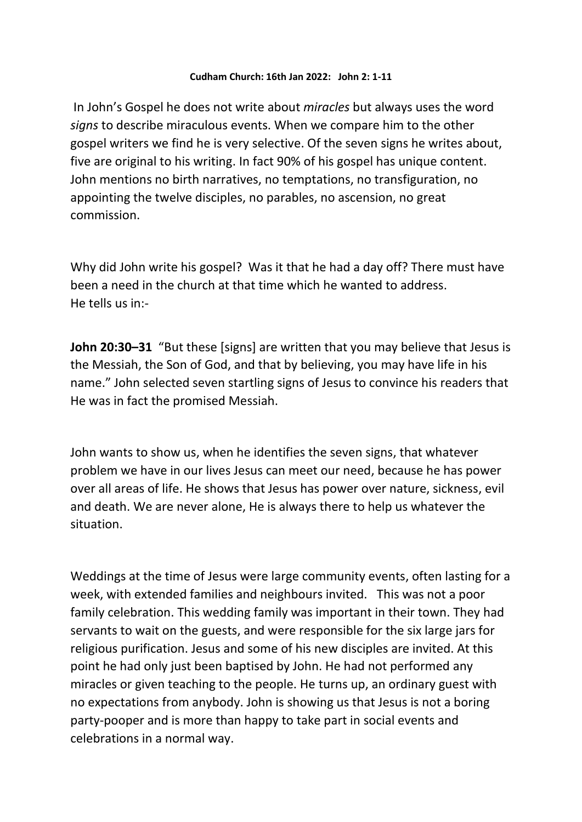## **Cudham Church: 16th Jan 2022: John 2: 1-11**

In John's Gospel he does not write about *miracles* but always uses the word *signs* to describe miraculous events. When we compare him to the other gospel writers we find he is very selective. Of the seven signs he writes about, five are original to his writing. In fact 90% of his gospel has unique content. John mentions no birth narratives, no temptations, no transfiguration, no appointing the twelve disciples, no parables, no ascension, no great commission.

Why did John write his gospel? Was it that he had a day off? There must have been a need in the church at that time which he wanted to address. He tells us in:-

**John 20:30–31** "But these [signs] are written that you may believe that Jesus is the Messiah, the Son of God, and that by believing, you may have life in his name." John selected seven startling signs of Jesus to convince his readers that He was in fact the promised Messiah.

John wants to show us, when he identifies the seven signs, that whatever problem we have in our lives Jesus can meet our need, because he has power over all areas of life. He shows that Jesus has power over nature, sickness, evil and death. We are never alone, He is always there to help us whatever the situation.

Weddings at the time of Jesus were large community events, often lasting for a week, with extended families and neighbours invited. This was not a poor family celebration. This wedding family was important in their town. They had servants to wait on the guests, and were responsible for the six large jars for religious purification. Jesus and some of his new disciples are invited. At this point he had only just been baptised by John. He had not performed any miracles or given teaching to the people. He turns up, an ordinary guest with no expectations from anybody. John is showing us that Jesus is not a boring party-pooper and is more than happy to take part in social events and celebrations in a normal way.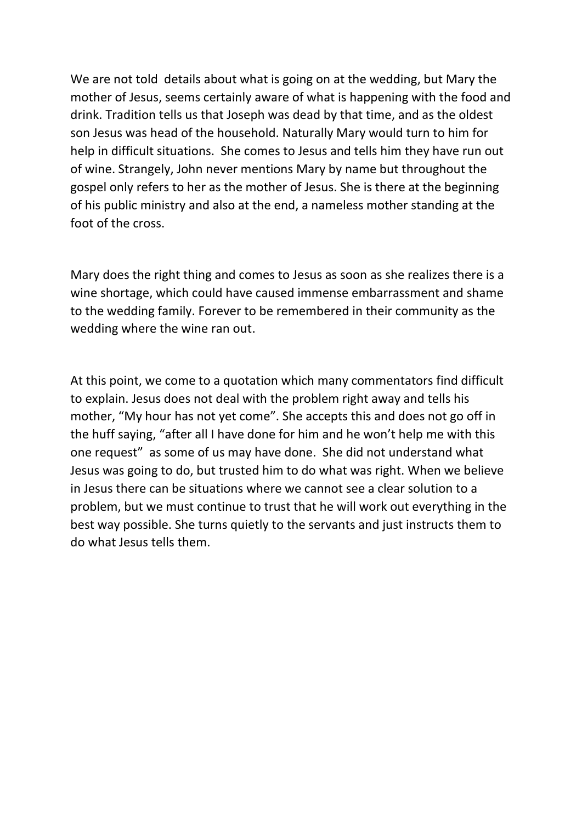We are not told details about what is going on at the wedding, but Mary the mother of Jesus, seems certainly aware of what is happening with the food and drink. Tradition tells us that Joseph was dead by that time, and as the oldest son Jesus was head of the household. Naturally Mary would turn to him for help in difficult situations. She comes to Jesus and tells him they have run out of wine. Strangely, John never mentions Mary by name but throughout the gospel only refers to her as the mother of Jesus. She is there at the beginning of his public ministry and also at the end, a nameless mother standing at the foot of the cross.

Mary does the right thing and comes to Jesus as soon as she realizes there is a wine shortage, which could have caused immense embarrassment and shame to the wedding family. Forever to be remembered in their community as the wedding where the wine ran out.

At this point, we come to a quotation which many commentators find difficult to explain. Jesus does not deal with the problem right away and tells his mother, "My hour has not yet come". She accepts this and does not go off in the huff saying, "after all I have done for him and he won't help me with this one request" as some of us may have done. She did not understand what Jesus was going to do, but trusted him to do what was right. When we believe in Jesus there can be situations where we cannot see a clear solution to a problem, but we must continue to trust that he will work out everything in the best way possible. She turns quietly to the servants and just instructs them to do what Jesus tells them.